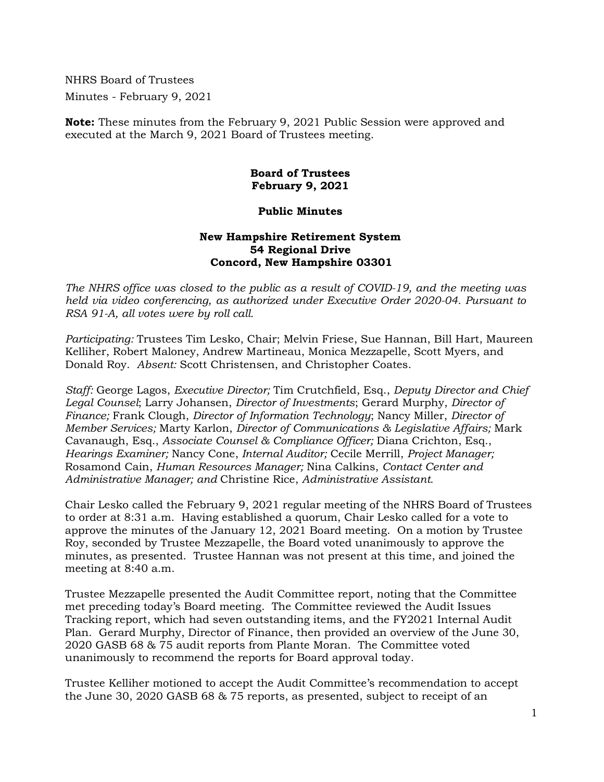NHRS Board of Trustees Minutes - February 9, 2021

**Note:** These minutes from the February 9, 2021 Public Session were approved and executed at the March 9, 2021 Board of Trustees meeting.

## **Board of Trustees February 9, 2021**

## **Public Minutes**

## **New Hampshire Retirement System 54 Regional Drive Concord, New Hampshire 03301**

*The NHRS office was closed to the public as a result of COVID-19, and the meeting was held via video conferencing, as authorized under Executive Order 2020-04. Pursuant to RSA 91-A, all votes were by roll call.*

*Participating:* Trustees Tim Lesko, Chair; Melvin Friese, Sue Hannan, Bill Hart, Maureen Kelliher, Robert Maloney, Andrew Martineau, Monica Mezzapelle, Scott Myers, and Donald Roy. *Absent:* Scott Christensen, and Christopher Coates.

*Staff:* George Lagos, *Executive Director;* Tim Crutchfield, Esq., *Deputy Director and Chief Legal Counsel*; Larry Johansen, *Director of Investments*; Gerard Murphy, *Director of Finance;* Frank Clough, *Director of Information Technology*; Nancy Miller, *Director of Member Services;* Marty Karlon, *Director of Communications & Legislative Affairs;* Mark Cavanaugh, Esq., *Associate Counsel & Compliance Officer;* Diana Crichton, Esq., *Hearings Examiner;* Nancy Cone, *Internal Auditor;* Cecile Merrill, *Project Manager;*  Rosamond Cain, *Human Resources Manager;* Nina Calkins, *Contact Center and Administrative Manager; and* Christine Rice, *Administrative Assistant.*

Chair Lesko called the February 9, 2021 regular meeting of the NHRS Board of Trustees to order at 8:31 a.m. Having established a quorum, Chair Lesko called for a vote to approve the minutes of the January 12, 2021 Board meeting. On a motion by Trustee Roy, seconded by Trustee Mezzapelle, the Board voted unanimously to approve the minutes, as presented. Trustee Hannan was not present at this time, and joined the meeting at 8:40 a.m.

Trustee Mezzapelle presented the Audit Committee report, noting that the Committee met preceding today's Board meeting. The Committee reviewed the Audit Issues Tracking report, which had seven outstanding items, and the FY2021 Internal Audit Plan. Gerard Murphy, Director of Finance, then provided an overview of the June 30, 2020 GASB 68 & 75 audit reports from Plante Moran. The Committee voted unanimously to recommend the reports for Board approval today.

Trustee Kelliher motioned to accept the Audit Committee's recommendation to accept the June 30, 2020 GASB 68 & 75 reports, as presented, subject to receipt of an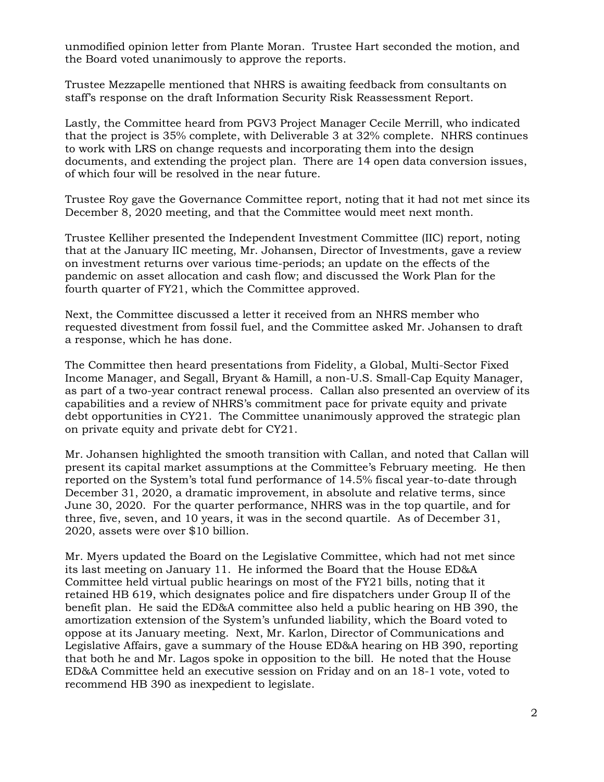unmodified opinion letter from Plante Moran. Trustee Hart seconded the motion, and the Board voted unanimously to approve the reports.

Trustee Mezzapelle mentioned that NHRS is awaiting feedback from consultants on staff's response on the draft Information Security Risk Reassessment Report.

Lastly, the Committee heard from PGV3 Project Manager Cecile Merrill, who indicated that the project is 35% complete, with Deliverable 3 at 32% complete. NHRS continues to work with LRS on change requests and incorporating them into the design documents, and extending the project plan. There are 14 open data conversion issues, of which four will be resolved in the near future.

Trustee Roy gave the Governance Committee report, noting that it had not met since its December 8, 2020 meeting, and that the Committee would meet next month.

Trustee Kelliher presented the Independent Investment Committee (IIC) report, noting that at the January IIC meeting, Mr. Johansen, Director of Investments, gave a review on investment returns over various time-periods; an update on the effects of the pandemic on asset allocation and cash flow; and discussed the Work Plan for the fourth quarter of FY21, which the Committee approved.

Next, the Committee discussed a letter it received from an NHRS member who requested divestment from fossil fuel, and the Committee asked Mr. Johansen to draft a response, which he has done.

The Committee then heard presentations from Fidelity, a Global, Multi-Sector Fixed Income Manager, and Segall, Bryant & Hamill, a non-U.S. Small-Cap Equity Manager, as part of a two-year contract renewal process. Callan also presented an overview of its capabilities and a review of NHRS's commitment pace for private equity and private debt opportunities in CY21. The Committee unanimously approved the strategic plan on private equity and private debt for CY21.

Mr. Johansen highlighted the smooth transition with Callan, and noted that Callan will present its capital market assumptions at the Committee's February meeting. He then reported on the System's total fund performance of 14.5% fiscal year-to-date through December 31, 2020, a dramatic improvement, in absolute and relative terms, since June 30, 2020. For the quarter performance, NHRS was in the top quartile, and for three, five, seven, and 10 years, it was in the second quartile. As of December 31, 2020, assets were over \$10 billion.

Mr. Myers updated the Board on the Legislative Committee, which had not met since its last meeting on January 11. He informed the Board that the House ED&A Committee held virtual public hearings on most of the FY21 bills, noting that it retained HB 619, which designates police and fire dispatchers under Group II of the benefit plan. He said the ED&A committee also held a public hearing on HB 390, the amortization extension of the System's unfunded liability, which the Board voted to oppose at its January meeting. Next, Mr. Karlon, Director of Communications and Legislative Affairs, gave a summary of the House ED&A hearing on HB 390, reporting that both he and Mr. Lagos spoke in opposition to the bill. He noted that the House ED&A Committee held an executive session on Friday and on an 18-1 vote, voted to recommend HB 390 as inexpedient to legislate.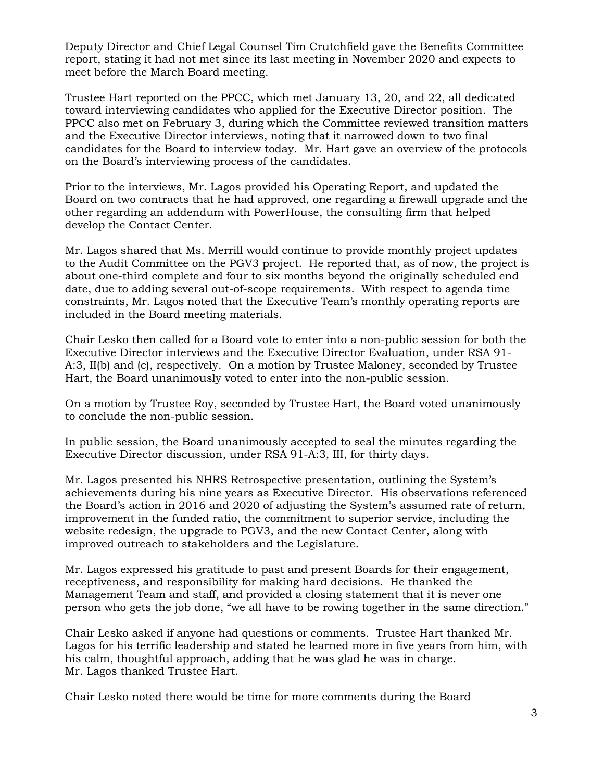Deputy Director and Chief Legal Counsel Tim Crutchfield gave the Benefits Committee report, stating it had not met since its last meeting in November 2020 and expects to meet before the March Board meeting.

Trustee Hart reported on the PPCC, which met January 13, 20, and 22, all dedicated toward interviewing candidates who applied for the Executive Director position. The PPCC also met on February 3, during which the Committee reviewed transition matters and the Executive Director interviews, noting that it narrowed down to two final candidates for the Board to interview today. Mr. Hart gave an overview of the protocols on the Board's interviewing process of the candidates.

Prior to the interviews, Mr. Lagos provided his Operating Report, and updated the Board on two contracts that he had approved, one regarding a firewall upgrade and the other regarding an addendum with PowerHouse, the consulting firm that helped develop the Contact Center.

Mr. Lagos shared that Ms. Merrill would continue to provide monthly project updates to the Audit Committee on the PGV3 project. He reported that, as of now, the project is about one-third complete and four to six months beyond the originally scheduled end date, due to adding several out-of-scope requirements. With respect to agenda time constraints, Mr. Lagos noted that the Executive Team's monthly operating reports are included in the Board meeting materials.

Chair Lesko then called for a Board vote to enter into a non-public session for both the Executive Director interviews and the Executive Director Evaluation, under RSA 91- A:3, II(b) and (c), respectively. On a motion by Trustee Maloney, seconded by Trustee Hart, the Board unanimously voted to enter into the non-public session.

On a motion by Trustee Roy, seconded by Trustee Hart, the Board voted unanimously to conclude the non-public session.

In public session, the Board unanimously accepted to seal the minutes regarding the Executive Director discussion, under RSA 91-A:3, III, for thirty days.

Mr. Lagos presented his NHRS Retrospective presentation, outlining the System's achievements during his nine years as Executive Director. His observations referenced the Board's action in 2016 and 2020 of adjusting the System's assumed rate of return, improvement in the funded ratio, the commitment to superior service, including the website redesign, the upgrade to PGV3, and the new Contact Center, along with improved outreach to stakeholders and the Legislature.

Mr. Lagos expressed his gratitude to past and present Boards for their engagement, receptiveness, and responsibility for making hard decisions. He thanked the Management Team and staff, and provided a closing statement that it is never one person who gets the job done, "we all have to be rowing together in the same direction."

Chair Lesko asked if anyone had questions or comments. Trustee Hart thanked Mr. Lagos for his terrific leadership and stated he learned more in five years from him, with his calm, thoughtful approach, adding that he was glad he was in charge. Mr. Lagos thanked Trustee Hart.

Chair Lesko noted there would be time for more comments during the Board